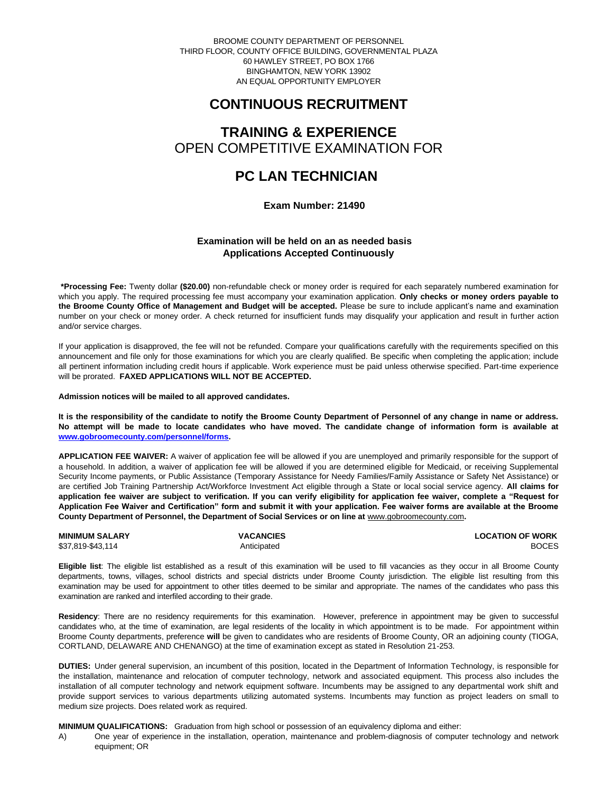BROOME COUNTY DEPARTMENT OF PERSONNEL THIRD FLOOR, COUNTY OFFICE BUILDING, GOVERNMENTAL PLAZA 60 HAWLEY STREET, PO BOX 1766 BINGHAMTON, NEW YORK 13902 AN EQUAL OPPORTUNITY EMPLOYER

# **CONTINUOUS RECRUITMENT**

## **TRAINING & EXPERIENCE** OPEN COMPETITIVE EXAMINATION FOR

# **PC LAN TECHNICIAN**

 **Exam Number: 21490**

### **Examination will be held on an as needed basis Applications Accepted Continuously**

**\*Processing Fee:** Twenty dollar **(\$20.00)** non-refundable check or money order is required for each separately numbered examination for which you apply. The required processing fee must accompany your examination application. **Only checks or money orders payable to the Broome County Office of Management and Budget will be accepted.** Please be sure to include applicant's name and examination number on your check or money order. A check returned for insufficient funds may disqualify your application and result in further action and/or service charges.

If your application is disapproved, the fee will not be refunded. Compare your qualifications carefully with the requirements specified on this announcement and file only for those examinations for which you are clearly qualified. Be specific when completing the application; include all pertinent information including credit hours if applicable. Work experience must be paid unless otherwise specified. Part-time experience will be prorated. **FAXED APPLICATIONS WILL NOT BE ACCEPTED.** 

**Admission notices will be mailed to all approved candidates.** 

**It is the responsibility of the candidate to notify the Broome County Department of Personnel of any change in name or address. No attempt will be made to locate candidates who have moved. The candidate change of information form is available at [www.gobroomecounty.com/personnel/forms.](http://www.gobroomecounty.com/personnel/forms)** 

**APPLICATION FEE WAIVER:** A waiver of application fee will be allowed if you are unemployed and primarily responsible for the support of a household. In addition, a waiver of application fee will be allowed if you are determined eligible for Medicaid, or receiving Supplemental Security Income payments, or Public Assistance (Temporary Assistance for Needy Families/Family Assistance or Safety Net Assistance) or are certified Job Training Partnership Act/Workforce Investment Act eligible through a State or local social service agency. **All claims for application fee waiver are subject to verification. If you can verify eligibility for application fee waiver, complete a "Request for Application Fee Waiver and Certification" form and submit it with your application. Fee waiver forms are available at the Broome County Department of Personnel, the Department of Social Services or on line at** www.gobroomecounty.com**.** 

**MINIMUM SALARY VACANCIES LOCATION OF WORK** \$37,819-\$43,114 Anticipated BOCES

**Eligible list**: The eligible list established as a result of this examination will be used to fill vacancies as they occur in all Broome County departments, towns, villages, school districts and special districts under Broome County jurisdiction. The eligible list resulting from this examination may be used for appointment to other titles deemed to be similar and appropriate. The names of the candidates who pass this examination are ranked and interfiled according to their grade.

**Residency**: There are no residency requirements for this examination. However, preference in appointment may be given to successful candidates who, at the time of examination, are legal residents of the locality in which appointment is to be made. For appointment within Broome County departments, preference **will** be given to candidates who are residents of Broome County, OR an adjoining county (TIOGA, CORTLAND, DELAWARE AND CHENANGO) at the time of examination except as stated in Resolution 21-253.

**DUTIES:** Under general supervision, an incumbent of this position, located in the Department of Information Technology, is responsible for the installation, maintenance and relocation of computer technology, network and associated equipment. This process also includes the installation of all computer technology and network equipment software. Incumbents may be assigned to any departmental work shift and provide support services to various departments utilizing automated systems. Incumbents may function as project leaders on small to medium size projects. Does related work as required.

**MINIMUM QUALIFICATIONS:** Graduation from high school or possession of an equivalency diploma and either:

A) One year of experience in the installation, operation, maintenance and problem-diagnosis of computer technology and network equipment; OR